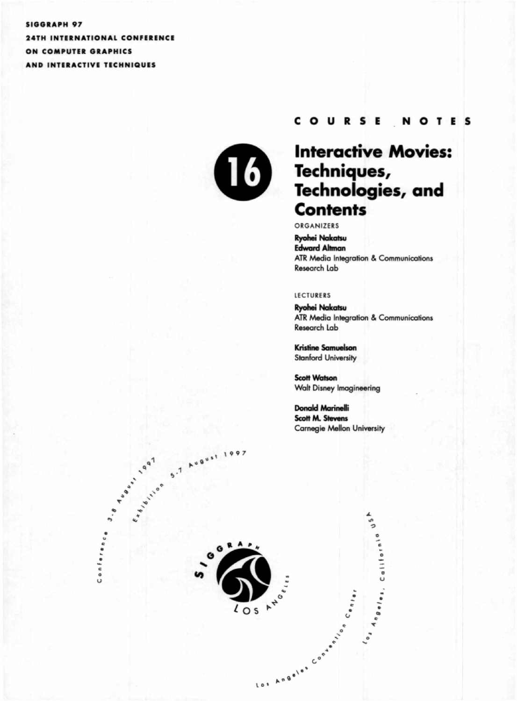#### **SIGGRAPH 97**

**24TH INTERNATIONAL CONFERENCE** ON COMPUTER GRAPHICS AND INTERACTIVE TECHNIQUES



#### **COURSE NOTES**

# **Interactive Movies:** Techniques,<br>Technologies, and **Contents**

ORGANIZERS

**Ryohei Nakatsu Edward Altman ATR Media Integration & Communications** Research Lab

#### **LECTURERS**

**Ryohei Nakatsu ATR Media Integration & Communications** Research Lab

**Kristine Samuelson Stanford University** 

**Scott Watson Walt Disney Imagineering** 

**Donald Marinelli Scott M. Stevens Carnegie Mellon University** 

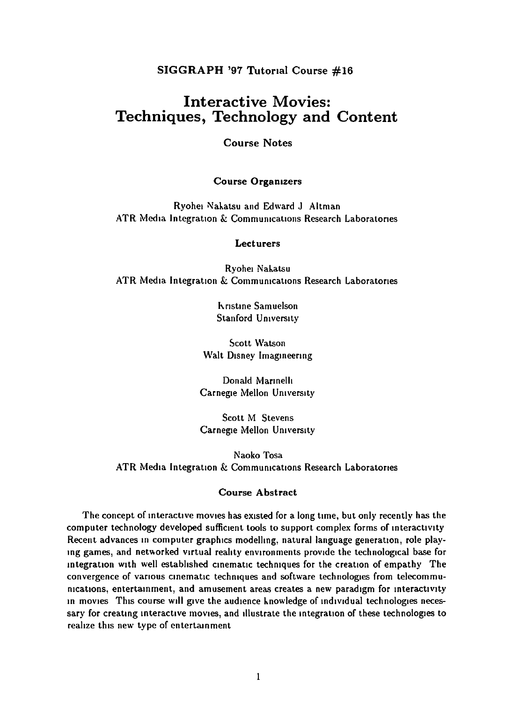SIGGRAPH '97 Tutorial Course #16

## **Interactive Movies: Techniques, Technology and Content**

**Course Notes** 

#### **Course Organizers**

Ryohei Nakatsu and Edward J Altman ATR Media Integration & Communications Research Laboratories

#### **Lecturers**

Ryohei Nakatsu ATR Media Integration & Communications Research Laboratories

> **Kristine Samuelson** Stanford University

**Scott Watson** Walt Disney Imagineering

Donald Marinelli Carnegie Mellon University

**Scott M Stevens** Carnegie Mellon University

Naoko Tosa ATR Media Integration & Communications Research Laboratories

#### **Course Abstract**

The concept of interactive movies has existed for a long time, but only recently has the computer technology developed sufficient tools to support complex forms of interactivity Recent advances in computer graphics modelling, natural language generation, role playing games, and networked virtual reality environments provide the technological base for integration with well established cinematic techniques for the creation of empathy The convergence of various cinematic techniques and software technologies from telecommunications, entertainment, and amusement areas creates a new paradigm for interactivity in movies. This course will give the audience knowledge of individual technologies necessary for creating interactive movies, and illustrate the integration of these technologies to realize this new type of entertainment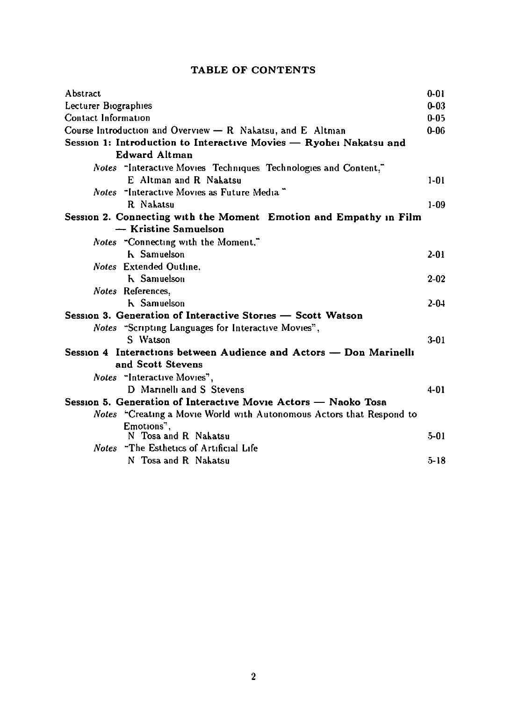### TABLE OF CONTENTS

| Abstract                                                             | $0 - 01$  |
|----------------------------------------------------------------------|-----------|
| Lecturer Biographies                                                 | $0 - 03$  |
| Contact Information                                                  | $0 - 05$  |
| Course Introduction and Overview $-$ R Nakatsu, and E Altman         | $0 - 06$  |
| Session 1: Introduction to Interactive Movies — Ryohei Nakatsu and   |           |
| <b>Edward Altman</b>                                                 |           |
| Notes "Interactive Movies Techniques Technologies and Content,"      |           |
| E Altman and R Nakatsu                                               | $1 - 01$  |
| <i>Notes</i> "Interactive Movies as Future Media"                    |           |
| R Nakatsu                                                            | $1 - 09$  |
| Session 2. Connecting with the Moment Emotion and Empathy in Film    |           |
| — Kristine Samuelson                                                 |           |
| Notes "Connecting with the Moment."                                  |           |
| <b>h</b> Samuelson                                                   | $2 - 01$  |
| <b>Notes</b> Extended Outline.                                       |           |
| <b>h</b> Samuelson                                                   | $2 - 02$  |
| Notes References,                                                    |           |
| <b>h</b> Samuelson                                                   | $2 - 0.1$ |
| Session 3. Generation of Interactive Stories – Scott Watson          |           |
| Notes "Scripting Languages for Interactive Movies",                  |           |
| S Watson                                                             | $3-01$    |
| Session 4 Interactions between Audience and Actors — Don Marinelli   |           |
| and Scott Stevens                                                    |           |
| <i>Notes</i> "Interactive Movies",                                   |           |
| D Marinelli and S Stevens                                            | $4 - 01$  |
| Session 5. Generation of Interactive Movie Actors - Naoko Tosa       |           |
| Notes "Creating a Movie World with Autonomous Actors that Respond to |           |
| Emotions",                                                           |           |
| N Tosa and R Nakatsu                                                 | $5-01$    |
| <i>Notes</i> "The Esthetics of Artificial Life"                      |           |
| N Tosa and R Nakatsu                                                 | $5 - 18$  |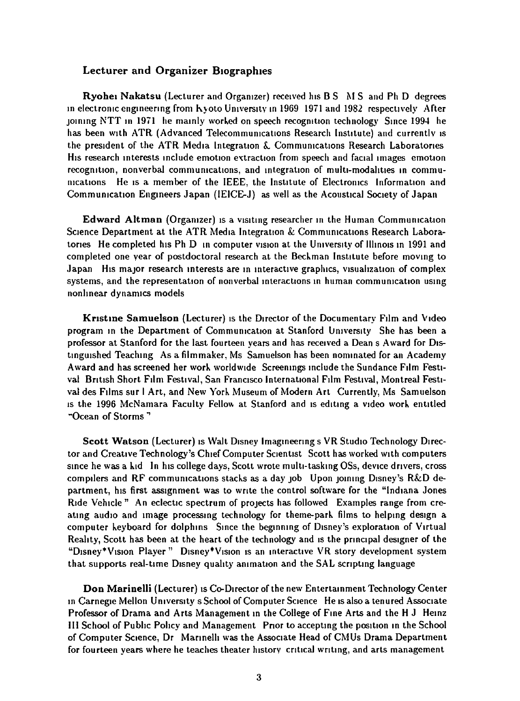#### Lecturer and Organizer Biographies

**Ryohei Nakatsu** (Lecturer and Organizer) received his B S M S and Ph D degrees in electronic engineering from Kyoto University in 1969 1971 and 1982 respectively After joining NTT in 1971 he mainly worked on speech recognition technology. Since 1994 he has been with ATR (Advanced Telecommunications Research Institute) and currently is the president of the ATR Media Integration & Communications Research Laboratories His research interests include emotion extraction from speech and facial images emotion recognition, nonverbal communications, and integration of multi-modalities in communications He is a member of the IEEE, the Institute of Electronics Information and Communication Engineers Japan (IEICE-J) as well as the Acoustical Society of Japan

**Edward Altman** (Organizer) is a visiting researcher in the Human Communication Science Department at the ATR Media Integration & Communications Research Laboratories. He completed his Ph D in computer vision at the University of Illinois in 1991 and completed one year of postdoctoral research at the Beckman Institute before moving to Japan His major research interests are in interactive graphics, visualization of complex systems, and the representation of nonverbal interactions in human communication using nonlinear dynamics models

Kristine Samuelson (Lecturer) is the Director of the Documentary Film and Video program in the Department of Communication at Stanford University She has been a professor at Stanford for the last fourteen years and has received a Dean s Award for Distinguished Teaching As a filmmaker, Ms Samuelson has been nominated for an Academy Award and has screened her work worldwide Screenings include the Sundance Film Festival British Short Film Festival, San Francisco International Film Festival, Montreal Festival des Films sur l Art, and New York Museum of Modern Art Currently, Ms Samuelson is the 1996 McNamara Faculty Fellow at Stanford and is editing a video work entitled "Ocean of Storms"

Scott Watson (Lecturer) is Walt Disney Imagineering s VR Studio Technology Director and Creative Technology's Chief Computer Scientist Scott has worked with computers since he was a kid In his college days, Scott wrote multi-tasking OSs, device drivers, cross compilers and RF communications stacks as a day job Upon joining Disney's R&D department, his first assignment was to write the control software for the "Indiana Jones Ride Vehicle " An eclectic spectrum of projects has followed Examples range from creating audio and image processing technology for theme-park films to helping design a computer keyboard for dolphins Since the beginning of Disney's exploration of Virtual Reality, Scott has been at the heart of the technology and is the principal designer of the "Disney\*Vision Player" Disney\*Vision is an interactive VR story development system that supports real-time Disney quality animation and the SAL scripting language

Don Marinelli (Lecturer) is Co-Director of the new Entertainment Technology Center in Carnegie Mellon University s School of Computer Science He is also a tenured Associate Professor of Drama and Arts Management in the College of Fine Arts and the H J Heinz III School of Public Policy and Management Prior to accepting the position in the School of Computer Science, Dr Marinelli was the Associate Head of CMUs Drama Department for fourteen years where he teaches theater history critical writing, and arts management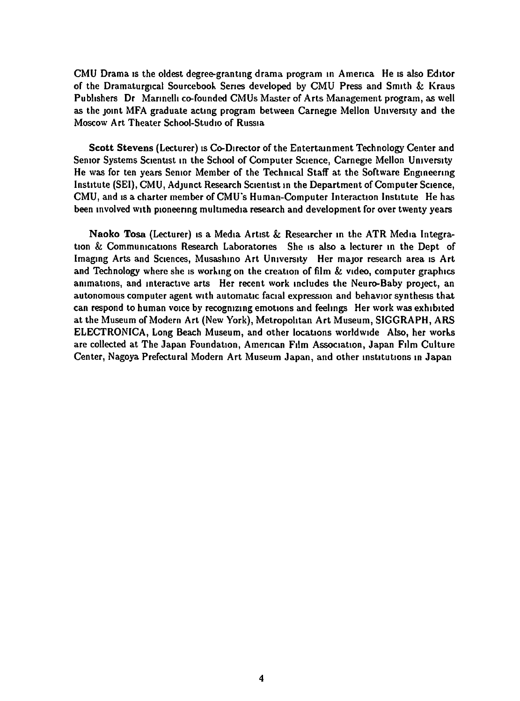CMU Drama IS the oldest degree-grantmg drama program m Amenca He IS also Ed1tor of the Dramaturgical Sourcebook Senes developed by CMU Press and Sm1th & Kraus Publishers Dr Marinelli co-founded CMUs Master of Arts Management program, as well as the joint MFA graduate acting program between Carnegie Mellon University and the Moscow Art Theater School-Studio of Russia

Scott Stevens (Lecturer) is Co-Director of the Entertainment Technology Center and Senior Systems Scientist in the School of Computer Science, Carnegie Mellon University He was for ten years Semor Member of the Techmcal Staff at the Software Engmeermg Institute (SEI), CMU, Adjunct Research Scientist in the Department of Computer Science, CMU, and is a charter member of CMU's Human-Computer Interaction Institute He has been involved with pioneering multimedia research and development for over twenty years

Naoko Tosa (Lecturer) is a Media Artist & Researcher in the ATR Media Integration & Communications Research Laboratories She is also a lecturer in the Dept of Imaging Arts and Sciences, Musashino Art University Her major research area is Art and Technology where she is working on the creation of film  $\&$  video, computer graphics animations, and interactive arts Her recent work includes the Neuro-Baby project, an autonomous computer agent with automatic facial expression and behavior synthesis that can respond to human voice by recognizing emotions and feelings Her work was exhibited at the Museum of Modern Art (New York), Metropolitan Art Museum, SIGGRAPH, ARS ELECTRONICA, Long Beach Museum, and other locations worldwide Also, her works are collected at The Japan Foundation, American Film Association, Japan Film Culture Center, Nagoya Prefectural Modern Art Museum Japan, and other institutions in Japan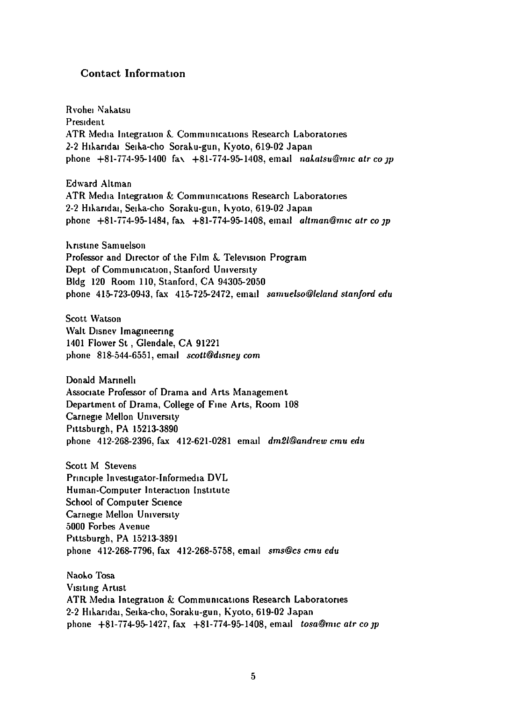#### Contact Information

Rvohei Nakatsu **President** ATR Media Integration & Communications Research Laboratories 2-2 Hikaridai Seika-cho Soraku-gun, Kyoto, 619-02 Japan phone  $+81-774-95-1400$  fax  $+81-774-95-1408$ , email *nakatsu@mic atr co ip* 

Edward Altman ATR Media Integration & Communications Research Laboratories 2-2 Hikaridai, Seika-cho Soraku-gun, h.yoto, 619-02 Japan phone +81-774-95-1484, fax +81-i74-95-1408, email *altrnan@mrc atr co JP* 

**hristine Samuelson** Professor and Director of the Film & Television Program Dept of Communication, Stanford University Bldg 120 Room 110, Stanford, CA 94305-2050 phone 415-723-09-13, fax 415-725-2472, email *samuelso@leland stanford edu* 

Scott Watson Walt Disney Imagineering 1401 Flower St , Glendale, CA 91221 phone 818-544-6551, email *scott@disney com* 

Donald Marinelli Assoctate Professor of Drama and Arts Management Department of Drama, College of Fme Arts, Room 108 Carnegie Mellon University P1ttsburgh, PA 15213-3890 phone 412-268-2396, fax 412-621-0281 ema1l *dm2/@andrew emu edu* 

Scott M Stevens Principle Investigator-Informedia DVL Human-Computer Interaction Institute School of Computer Science Carnegie Mellon University 5000 Forbes A venue P1ttsburgh, PA 15213-3891 phone 412-268-7796, fax 412-268-5758, ema1l *sms@cs emu edu* 

Naoko Tosa V1s1tmg Art1st ATR Media Integration  $\&$  Communications Research Laboratories 2-2 Hikaridai, Seika-cho, Soraku-gun, Kyoto, 619-02 Japan phone +81-774-95-1427, fax +81-774-95-1408, ema1l *tosa@mrc atr co JP*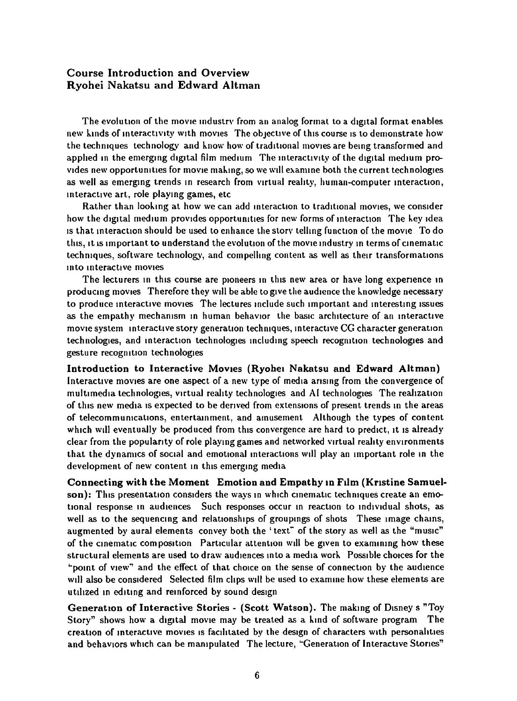#### Course Introduction and Overview Ryohei Nakatsu and Edward Altman

The evolution of the movie industry from an analog format to a digital format enables new kinds of interactivity with movies The objective of this course is to demonstrate how the techniques technology and know how of traditional movies are being transformed and applied in the emerging digital film medium The interactivity of the digital medium provides new opportunities for movie making, so we will examine both the current technologies as well as emerging trends in research from virtual reality, human-computer interaction, interactive art, role playing games, etc.

Rather than looking at how we can add interaction to traditional movies, we consider how the digital medium provides opportunities for new forms of interaction The key idea Is that interaction should be used to enhance the story telling function of the movie To do this, it is important to understand the evolution of the movie industry in terms of cinematic techniques, software technology, and compelling content as well as their transformations into interactive movies

The lecturers in this course are pioneers in this new area or have long experience in producing movies Therefore they will be able to give the audience the knowledge necessary to produce interactive movies The lectures include such important and interesting issues as the empathy mechanism in human behavior the basic architecture of an interactive movie system interactive story generation techniques, interactive CG character generation technologies, and interaction technologies including speech recognition technologies and gesture recognition technologies

Introduction to Interactive Movies (Ryohei Nakatsu and Edward Altman) Interactive movies are one aspect of a new type of media arising from the convergence of multimedia technologies, virtual reality technologies and AI technologies. The realization of this new media is expected to be derived from extensions of present trends in the areas of telecommunications, entertainment, and amusement Although the types of content which will eventually be produced from this convergence are hard to predict, it is already clear from the popularity of role playing games and networked virtual reality environments that the dynamics of social and emotional interactions will play an important role in the development of new content in this emerging media

Connecting with the Moment Emotion and Empathy in Film (Kristine Samuelson): This presentation considers the ways in which cinematic techniques create an emotional response in audiences Such responses occur in reaction to individual shots, as well as to the sequencing and relationships of groupings of shots These image chains, augmented by aural elements convey both the 'text" of the story as well as the "music" of the cinematic composition Particular attention will be given to examining how these structural elements are used to draw audiences into a media work. Possible choices for the "point of view" and the effect of that choice on the sense of connection by the audience will also be considered Selected film clips will be used to examine how these elements are utilized in editing and reinforced by sound design

Generation of Interactive Stories - (Scott Watson). The making of Disney s "Toy Story" shows how a digital movie may be treated as a kind of software program The creation of interactive movies is facilitated by the design of characters with personalities and behaviors which can be manipulated The lecture, "Generation of Interactive Stories"